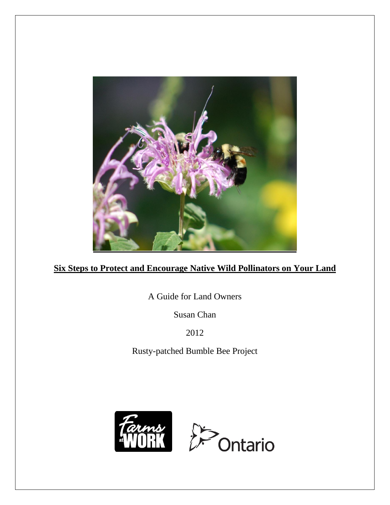

# **Six Steps to Protect and Encourage Native Wild Pollinators on Your Land**

A Guide for Land Owners

Susan Chan

2012

Rusty-patched Bumble Bee Project

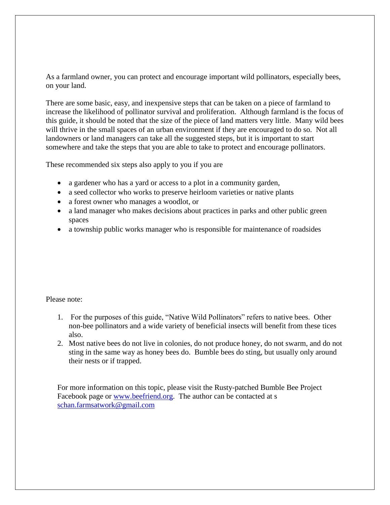As a farmland owner, you can protect and encourage important wild pollinators, especially bees, on your land.

There are some basic, easy, and inexpensive steps that can be taken on a piece of farmland to increase the likelihood of pollinator survival and proliferation. Although farmland is the focus of this guide, it should be noted that the size of the piece of land matters very little. Many wild bees will thrive in the small spaces of an urban environment if they are encouraged to do so. Not all landowners or land managers can take all the suggested steps, but it is important to start somewhere and take the steps that you are able to take to protect and encourage pollinators.

These recommended six steps also apply to you if you are

- a gardener who has a yard or access to a plot in a community garden,
- a seed collector who works to preserve heirloom varieties or native plants
- a forest owner who manages a woodlot, or
- a land manager who makes decisions about practices in parks and other public green spaces
- a township public works manager who is responsible for maintenance of roadsides

Please note:

- 1. For the purposes of this guide, "Native Wild Pollinators" refers to native bees. Other non-bee pollinators and a wide variety of beneficial insects will benefit from these tices also.
- 2. Most native bees do not live in colonies, do not produce honey, do not swarm, and do not sting in the same way as honey bees do. Bumble bees do sting, but usually only around their nests or if trapped.

For more information on this topic, please visit the Rusty-patched Bumble Bee Project Facebook page or [www.beefriend.org.](http://www.beefriend.org/) The author can be contacted at s [schan.farmsatwork@gmail.com](mailto:schan.farmsatwork@gmail.com)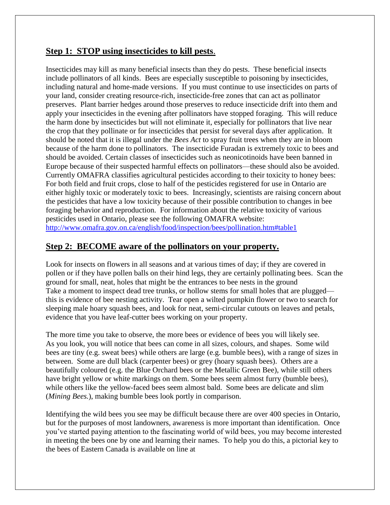# **Step 1: STOP using insecticides to kill pests**.

Insecticides may kill as many beneficial insects than they do pests. These beneficial insects include pollinators of all kinds. Bees are especially susceptible to poisoning by insecticides, including natural and home-made versions. If you must continue to use insecticides on parts of your land, consider creating resource-rich, insecticide-free zones that can act as pollinator preserves. Plant barrier hedges around those preserves to reduce insecticide drift into them and apply your insecticides in the evening after pollinators have stopped foraging. This will reduce the harm done by insecticides but will not eliminate it, especially for pollinators that live near the crop that they pollinate or for insecticides that persist for several days after application. It should be noted that it is illegal under the *Bees Act* to spray fruit trees when they are in bloom because of the harm done to pollinators. The insecticide Furadan is extremely toxic to bees and should be avoided. Certain classes of insecticides such as neonicotinoids have been banned in Europe because of their suspected harmful effects on pollinators—these should also be avoided. Currently OMAFRA classifies agricultural pesticides according to their toxicity to honey bees: For both field and fruit crops, close to half of the pesticides registered for use in Ontario are either highly toxic or moderately toxic to bees. Increasingly, scientists are raising concern about the pesticides that have a low toxicity because of their possible contribution to changes in bee foraging behavior and reproduction. For information about the relative toxicity of various pesticides used in Ontario, please see the following OMAFRA website: <http://www.omafra.gov.on.ca/english/food/inspection/bees/pollination.htm#table1>

# **Step 2: BECOME aware of the pollinators on your property.**

Look for insects on flowers in all seasons and at various times of day; if they are covered in pollen or if they have pollen balls on their hind legs, they are certainly pollinating bees. Scan the ground for small, neat, holes that might be the entrances to bee nests in the ground Take a moment to inspect dead tree trunks, or hollow stems for small holes that are plugged this is evidence of bee nesting activity. Tear open a wilted pumpkin flower or two to search for sleeping male hoary squash bees, and look for neat, semi-circular cutouts on leaves and petals, evidence that you have leaf-cutter bees working on your property.

The more time you take to observe, the more bees or evidence of bees you will likely see. As you look, you will notice that bees can come in all sizes, colours, and shapes. Some wild bees are tiny (e.g. sweat bees) while others are large (e.g. bumble bees), with a range of sizes in between. Some are dull black (carpenter bees) or grey (hoary squash bees). Others are a beautifully coloured (e.g. the Blue Orchard bees or the Metallic Green Bee), while still others have bright yellow or white markings on them. Some bees seem almost furry (bumble bees), while others like the yellow-faced bees seem almost bald. Some bees are delicate and slim (*Mining Bees.*), making bumble bees look portly in comparison.

Identifying the wild bees you see may be difficult because there are over 400 species in Ontario, but for the purposes of most landowners, awareness is more important than identification. Once you've started paying attention to the fascinating world of wild bees, you may become interested in meeting the bees one by one and learning their names. To help you do this, a pictorial key to the bees of Eastern Canada is available on line at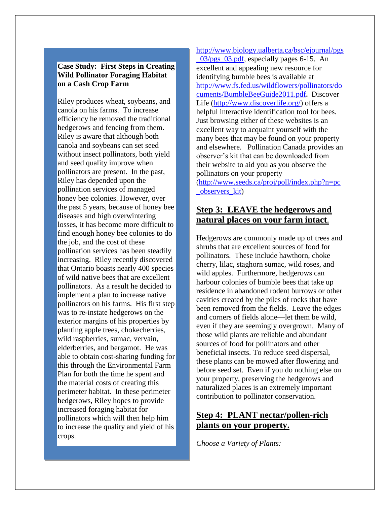## **Case Study: First Steps in Creating Wild Pollinator Foraging Habitat on a Cash Crop Farm**

Riley produces wheat, soybeans, and canola on his farms. To increase efficiency he removed the traditional hedgerows and fencing from them. Riley is aware that although both canola and soybeans can set seed without insect pollinators, both yield and seed quality improve when pollinators are present. In the past, Riley has depended upon the pollination services of managed honey bee colonies. However, over the past 5 years, because of honey bee diseases and high overwintering losses, it has become more difficult to find enough honey bee colonies to do the job, and the cost of these pollination services has been steadily increasing. Riley recently discovered that Ontario boasts nearly 400 species of wild native bees that are excellent pollinators. As a result he decided to implement a plan to increase native pollinators on his farms. His first step was to re-instate hedgerows on the exterior margins of his properties by planting apple trees, chokecherries, wild raspberries, sumac, vervain, elderberries, and bergamot. He was able to obtain cost-sharing funding for this through the Environmental Farm Plan for both the time he spent and the material costs of creating this perimeter habitat. In these perimeter hedgerows, Riley hopes to provide increased foraging habitat for pollinators which will then help him to increase the quality and yield of his crops.

## [http://www.biology.ualberta.ca/bsc/ejournal/pgs](http://www.biology.ualberta.ca/bsc/ejournal/pgs_03/pgs_03.pdf)

[\\_03/pgs\\_03.pdf,](http://www.biology.ualberta.ca/bsc/ejournal/pgs_03/pgs_03.pdf) especially pages 6-15. An excellent and appealing new resource for identifying bumble bees is available at [http://www.fs.fed.us/wildflowers/pollinators/do](http://www.fs.fed.us/wildflowers/pollinators/documents/BumbleBeeGuide2011.pdf) [cuments/BumbleBeeGuide2011.pdf](http://www.fs.fed.us/wildflowers/pollinators/documents/BumbleBeeGuide2011.pdf)**.** Discover Life [\(http://www.discoverlife.org/\)](http://www.discoverlife.org/) offers a helpful interactive identification tool for bees. Just browsing either of these websites is an excellent way to acquaint yourself with the many bees that may be found on your property and elsewhere. Pollination Canada provides an observer's kit that can be downloaded from their website to aid you as you observe the pollinators on your property [\(http://www.seeds.ca/proj/poll/index.php?n=pc](http://www.seeds.ca/proj/poll/index.php?n=pc_observers_kit) [\\_observers\\_kit\)](http://www.seeds.ca/proj/poll/index.php?n=pc_observers_kit)

# **Step 3: LEAVE the hedgerows and natural places on your farm intact**.

Hedgerows are commonly made up of trees and shrubs that are excellent sources of food for pollinators. These include hawthorn, choke cherry, lilac, staghorn sumac, wild roses, and wild apples. Furthermore, hedgerows can harbour colonies of bumble bees that take up residence in abandoned rodent burrows or other cavities created by the piles of rocks that have been removed from the fields. Leave the edges and corners of fields alone—let them be wild, even if they are seemingly overgrown. Many of those wild plants are reliable and abundant sources of food for pollinators and other beneficial insects. To reduce seed dispersal, these plants can be mowed after flowering and before seed set. Even if you do nothing else on your property, preserving the hedgerows and naturalized places is an extremely important contribution to pollinator conservation.

# **Step 4: PLANT nectar/pollen-rich plants on your property.**

*Choose a Variety of Plants:*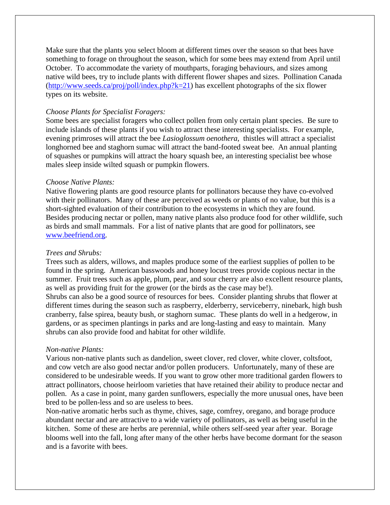Make sure that the plants you select bloom at different times over the season so that bees have something to forage on throughout the season, which for some bees may extend from April until October. To accommodate the variety of mouthparts, foraging behaviours, and sizes among native wild bees, try to include plants with different flower shapes and sizes. Pollination Canada  $(\text{http://www.seeds.ca/proj/poll/index.php?k=21})$  has excellent photographs of the six flower types on its website.

## *Choose Plants for Specialist Foragers:*

Some bees are specialist foragers who collect pollen from only certain plant species. Be sure to include islands of these plants if you wish to attract these interesting specialists. For example, evening primroses will attract the bee *Lasioglossum oenothera*, thistles will attract a specialist longhorned bee and staghorn sumac will attract the band-footed sweat bee. An annual planting of squashes or pumpkins will attract the hoary squash bee, an interesting specialist bee whose males sleep inside wilted squash or pumpkin flowers.

### *Choose Native Plants:*

Native flowering plants are good resource plants for pollinators because they have co-evolved with their pollinators. Many of these are perceived as weeds or plants of no value, but this is a short-sighted evaluation of their contribution to the ecosystems in which they are found. Besides producing nectar or pollen, many native plants also produce food for other wildlife, such as birds and small mammals. For a list of native plants that are good for pollinators, see [www.beefriend.org.](http://www.beefriend.org/)

#### *Trees and Shrubs:*

Trees such as alders, willows, and maples produce some of the earliest supplies of pollen to be found in the spring. American basswoods and honey locust trees provide copious nectar in the summer. Fruit trees such as apple, plum, pear, and sour cherry are also excellent resource plants, as well as providing fruit for the grower (or the birds as the case may be!).

Shrubs can also be a good source of resources for bees. Consider planting shrubs that flower at different times during the season such as raspberry, elderberry, serviceberry, ninebark, high bush cranberry, false spirea, beauty bush, or staghorn sumac. These plants do well in a hedgerow, in gardens, or as specimen plantings in parks and are long-lasting and easy to maintain. Many shrubs can also provide food and habitat for other wildlife.

#### *Non-native Plants:*

Various non-native plants such as dandelion, sweet clover, red clover, white clover, coltsfoot, and cow vetch are also good nectar and/or pollen producers. Unfortunately, many of these are considered to be undesirable weeds. If you want to grow other more traditional garden flowers to attract pollinators, choose heirloom varieties that have retained their ability to produce nectar and pollen. As a case in point, many garden sunflowers, especially the more unusual ones, have been bred to be pollen-less and so are useless to bees.

Non-native aromatic herbs such as thyme, chives, sage, comfrey, oregano, and borage produce abundant nectar and are attractive to a wide variety of pollinators, as well as being useful in the kitchen. Some of these are herbs are perennial, while others self-seed year after year. Borage blooms well into the fall, long after many of the other herbs have become dormant for the season and is a favorite with bees.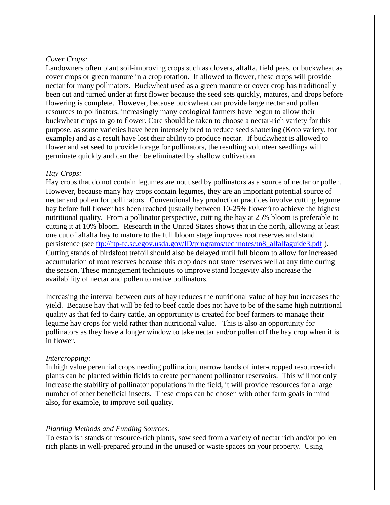## *Cover Crops:*

Landowners often plant soil-improving crops such as clovers, alfalfa, field peas, or buckwheat as cover crops or green manure in a crop rotation. If allowed to flower, these crops will provide nectar for many pollinators. Buckwheat used as a green manure or cover crop has traditionally been cut and turned under at first flower because the seed sets quickly, matures, and drops before flowering is complete. However, because buckwheat can provide large nectar and pollen resources to pollinators, increasingly many ecological farmers have begun to allow their buckwheat crops to go to flower. Care should be taken to choose a nectar-rich variety for this purpose, as some varieties have been intensely bred to reduce seed shattering (Koto variety, for example) and as a result have lost their ability to produce nectar. If buckwheat is allowed to flower and set seed to provide forage for pollinators, the resulting volunteer seedlings will germinate quickly and can then be eliminated by shallow cultivation.

## *Hay Crops:*

Hay crops that do not contain legumes are not used by pollinators as a source of nectar or pollen. However, because many hay crops contain legumes, they are an important potential source of nectar and pollen for pollinators. Conventional hay production practices involve cutting legume hay before full flower has been reached (usually between 10-25% flower) to achieve the highest nutritional quality. From a pollinator perspective, cutting the hay at 25% bloom is preferable to cutting it at 10% bloom. Research in the United States shows that in the north, allowing at least one cut of alfalfa hay to mature to the full bloom stage improves root reserves and stand persistence (see [ftp://ftp-fc.sc.egov.usda.gov/ID/programs/technotes/tn8\\_alfalfaguide3.pdf](ftp://ftp-fc.sc.egov.usda.gov/ID/programs/technotes/tn8_alfalfaguide3.pdf) ). Cutting stands of birdsfoot trefoil should also be delayed until full bloom to allow for increased accumulation of root reserves because this crop does not store reserves well at any time during the season. These management techniques to improve stand longevity also increase the availability of nectar and pollen to native pollinators.

Increasing the interval between cuts of hay reduces the nutritional value of hay but increases the yield. Because hay that will be fed to beef cattle does not have to be of the same high nutritional quality as that fed to dairy cattle, an opportunity is created for beef farmers to manage their legume hay crops for yield rather than nutritional value. This is also an opportunity for pollinators as they have a longer window to take nectar and/or pollen off the hay crop when it is in flower.

### *Intercropping:*

In high value perennial crops needing pollination, narrow bands of inter-cropped resource-rich plants can be planted within fields to create permanent pollinator reservoirs. This will not only increase the stability of pollinator populations in the field, it will provide resources for a large number of other beneficial insects. These crops can be chosen with other farm goals in mind also, for example, to improve soil quality.

## *Planting Methods and Funding Sources:*

To establish stands of resource-rich plants, sow seed from a variety of nectar rich and/or pollen rich plants in well-prepared ground in the unused or waste spaces on your property. Using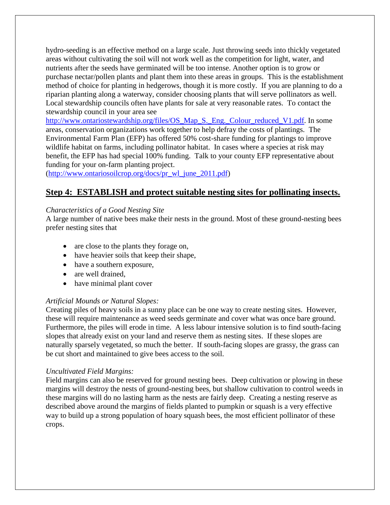hydro-seeding is an effective method on a large scale. Just throwing seeds into thickly vegetated areas without cultivating the soil will not work well as the competition for light, water, and nutrients after the seeds have germinated will be too intense. Another option is to grow or purchase nectar/pollen plants and plant them into these areas in groups. This is the establishment method of choice for planting in hedgerows, though it is more costly. If you are planning to do a riparian planting along a waterway, consider choosing plants that will serve pollinators as well. Local stewardship councils often have plants for sale at very reasonable rates. To contact the stewardship council in your area see

[http://www.ontariostewardship.org/files/OS\\_Map\\_S.\\_Eng.\\_Colour\\_reduced\\_V1.pdf.](http://www.ontariostewardship.org/files/OS_Map_S._Eng._Colour_reduced_V1.pdf) In some areas, conservation organizations work together to help defray the costs of plantings. The Environmental Farm Plan (EFP) has offered 50% cost-share funding for plantings to improve wildlife habitat on farms, including pollinator habitat. In cases where a species at risk may benefit, the EFP has had special 100% funding. Talk to your county EFP representative about funding for your on-farm planting project.

[\(http://www.ontariosoilcrop.org/docs/pr\\_wl\\_june\\_2011.pdf\)](http://www.ontariosoilcrop.org/docs/pr_wl_june_2011.pdf)

# **Step 4: ESTABLISH and protect suitable nesting sites for pollinating insects.**

# *Characteristics of a Good Nesting Site*

A large number of native bees make their nests in the ground. Most of these ground-nesting bees prefer nesting sites that

- are close to the plants they forage on,
- have heavier soils that keep their shape,
- have a southern exposure,
- are well drained,
- have minimal plant cover

# *Artificial Mounds or Natural Slopes:*

Creating piles of heavy soils in a sunny place can be one way to create nesting sites. However, these will require maintenance as weed seeds germinate and cover what was once bare ground. Furthermore, the piles will erode in time. A less labour intensive solution is to find south-facing slopes that already exist on your land and reserve them as nesting sites. If these slopes are naturally sparsely vegetated, so much the better. If south-facing slopes are grassy, the grass can be cut short and maintained to give bees access to the soil.

# *Uncultivated Field Margins:*

Field margins can also be reserved for ground nesting bees. Deep cultivation or plowing in these margins will destroy the nests of ground-nesting bees, but shallow cultivation to control weeds in these margins will do no lasting harm as the nests are fairly deep. Creating a nesting reserve as described above around the margins of fields planted to pumpkin or squash is a very effective way to build up a strong population of hoary squash bees, the most efficient pollinator of these crops.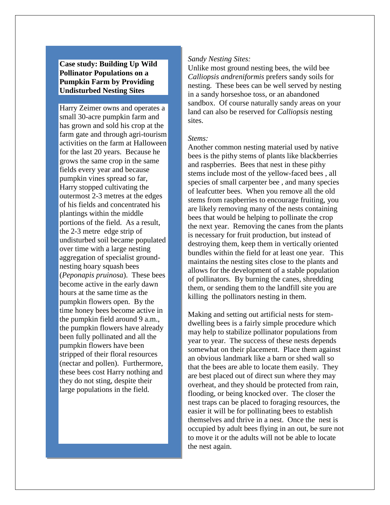# **Case study: Building Up Wild Pollinator Populations on a Pumpkin Farm by Providing Undisturbed Nesting Sites**

Harry Zeimer owns and operates a small 30-acre pumpkin farm and has grown and sold his crop at the farm gate and through agri-tourism activities on the farm at Halloween for the last 20 years. Because he grows the same crop in the same fields every year and because pumpkin vines spread so far, Harry stopped cultivating the outermost 2-3 metres at the edges of his fields and concentrated his plantings within the middle portions of the field. As a result, the 2-3 metre edge strip of undisturbed soil became populated over time with a large nesting aggregation of specialist groundnesting hoary squash bees (*Peponapis pruinosa*). These bees become active in the early dawn hours at the same time as the pumpkin flowers open. By the time honey bees become active in the pumpkin field around 9 a.m., the pumpkin flowers have already been fully pollinated and all the pumpkin flowers have been stripped of their floral resources (nectar and pollen). Furthermore, these bees cost Harry nothing and they do not sting, despite their large populations in the field.

## *Sandy Nesting Sites:*

Unlike most ground nesting bees, the wild bee *Calliopsis andreniformis* prefers sandy soils for nesting. These bees can be well served by nesting in a sandy horseshoe toss, or an abandoned sandbox. Of course naturally sandy areas on your land can also be reserved for *Calliopsis* nesting sites.

### *Stems:*

Another common nesting material used by native bees is the pithy stems of plants like blackberries and raspberries. Bees that nest in these pithy stems include most of the yellow-faced bees , all species of small carpenter bee , and many species of leafcutter bees. When you remove all the old stems from raspberries to encourage fruiting, you are likely removing many of the nests containing bees that would be helping to pollinate the crop the next year. Removing the canes from the plants is necessary for fruit production, but instead of destroying them, keep them in vertically oriented bundles within the field for at least one year. This maintains the nesting sites close to the plants and allows for the development of a stable population of pollinators. By burning the canes, shredding them, or sending them to the landfill site you are killing the pollinators nesting in them.

Making and setting out artificial nests for stemdwelling bees is a fairly simple procedure which may help to stabilize pollinator populations from year to year. The success of these nests depends somewhat on their placement. Place them against an obvious landmark like a barn or shed wall so that the bees are able to locate them easily. They are best placed out of direct sun where they may overheat, and they should be protected from rain, flooding, or being knocked over. The closer the nest traps can be placed to foraging resources, the easier it will be for pollinating bees to establish themselves and thrive in a nest. Once the nest is occupied by adult bees flying in an out, be sure not to move it or the adults will not be able to locate the nest again.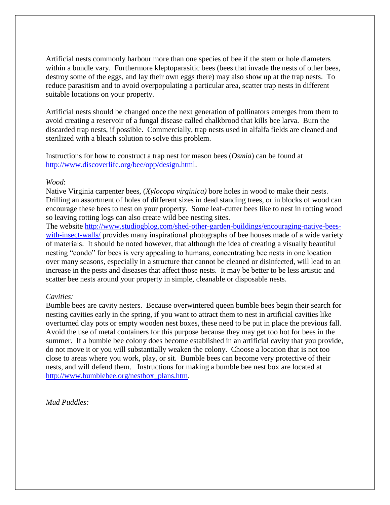Artificial nests commonly harbour more than one species of bee if the stem or hole diameters within a bundle vary. Furthermore kleptoparasitic bees (bees that invade the nests of other bees, destroy some of the eggs, and lay their own eggs there) may also show up at the trap nests. To reduce parasitism and to avoid overpopulating a particular area, scatter trap nests in different suitable locations on your property.

Artificial nests should be changed once the next generation of pollinators emerges from them to avoid creating a reservoir of a fungal disease called chalkbrood that kills bee larva. Burn the discarded trap nests, if possible. Commercially, trap nests used in alfalfa fields are cleaned and sterilized with a bleach solution to solve this problem.

Instructions for how to construct a trap nest for mason bees (*Osmia*) can be found at [http://www.discoverlife.org/bee/opp/design.html.](http://www.discoverlife.org/bee/opp/design.html)

### *Wood*:

Native Virginia carpenter bees, (*Xylocopa virginica)* bore holes in wood to make their nests. Drilling an assortment of holes of different sizes in dead standing trees, or in blocks of wood can encourage these bees to nest on your property. Some leaf-cutter bees like to nest in rotting wood so leaving rotting logs can also create wild bee nesting sites.

The website [http://www.studiogblog.com/shed-other-garden-buildings/encouraging-native-bees](http://www.studiogblog.com/shed-other-garden-buildings/encouraging-native-bees-with-insect-walls/)[with-insect-walls/](http://www.studiogblog.com/shed-other-garden-buildings/encouraging-native-bees-with-insect-walls/) provides many inspirational photographs of bee houses made of a wide variety of materials. It should be noted however, that although the idea of creating a visually beautiful nesting "condo" for bees is very appealing to humans, concentrating bee nests in one location over many seasons, especially in a structure that cannot be cleaned or disinfected, will lead to an increase in the pests and diseases that affect those nests. It may be better to be less artistic and scatter bee nests around your property in simple, cleanable or disposable nests.

### *Cavities:*

Bumble bees are cavity nesters. Because overwintered queen bumble bees begin their search for nesting cavities early in the spring, if you want to attract them to nest in artificial cavities like overturned clay pots or empty wooden nest boxes, these need to be put in place the previous fall. Avoid the use of metal containers for this purpose because they may get too hot for bees in the summer. If a bumble bee colony does become established in an artificial cavity that you provide, do not move it or you will substantially weaken the colony. Choose a location that is not too close to areas where you work, play, or sit. Bumble bees can become very protective of their nests, and will defend them. Instructions for making a bumble bee nest box are located at [http://www.bumblebee.org/nestbox\\_plans.htm.](http://www.bumblebee.org/nestbox_plans.htm)

*Mud Puddles:*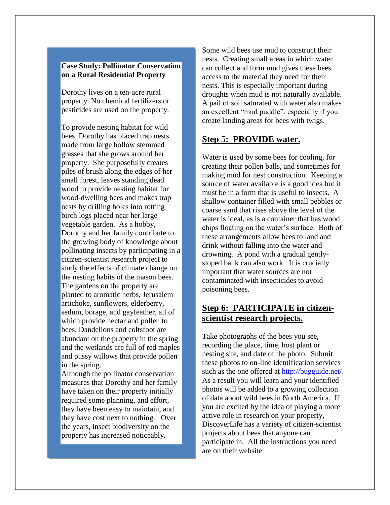## **Case Study: Pollinator Conservation on a Rural Residential Property**

Dorothy lives on a ten-acre rural property. No chemical fertilizers or pesticides are used on the property.

To provide nesting habitat for wild bees, Dorothy has placed trap nests made from large hollow stemmed grasses that she grows around her property. She purposefully creates piles of brush along the edges of her small forest, leaves standing dead wood to provide nesting habitat for wood-dwelling bees and makes trap nests by drilling holes into rotting birch logs placed near her large vegetable garden. As a hobby, Dorothy and her family contribute to the growing body of knowledge about pollinating insects by participating in a citizen-scientist research project to study the effects of climate change on the nesting habits of the mason bees. The gardens on the property are planted to aromatic herbs, Jerusalem artichoke, sunflowers, elderberry, sedum, borage, and gayfeather, all of which provide nectar and pollen to bees. Dandelions and coltsfoot are abundant on the property in the spring and the wetlands are full of red maples and pussy willows that provide pollen in the spring.

Although the pollinator conservation measures that Dorothy and her family have taken on their property initially required some planning, and effort, they have been easy to maintain, and they have cost next to nothing. Over the years, insect biodiversity on the property has increased noticeably.

Some wild bees use mud to construct their nests. Creating small areas in which water can collect and form mud gives these bees access to the material they need for their nests. This is especially important during droughts when mud is not naturally available. A pail of soil saturated with water also makes an excellent "mud puddle", especially if you create landing areas for bees with twigs.

# **Step 5: PROVIDE water.**

Water is used by some bees for cooling, for creating their pollen balls, and sometimes for making mud for nest construction. Keeping a source of water available is a good idea but it must be in a form that is useful to insects. A shallow container filled with small pebbles or coarse sand that rises above the level of the water is ideal, as is a container that has wood chips floating on the water's surface. Both of these arrangements allow bees to land and drink without falling into the water and drowning. A pond with a gradual gentlysloped bank can also work. It is crucially important that water sources are not contaminated with insecticides to avoid poisoning bees.

# **Step 6: PARTICIPATE in citizenscientist research projects.**

Take photographs of the bees you see, recording the place, time, host plant or nesting site, and date of the photo. Submit these photos to on-line identification services such as the one offered at [http://bugguide.net/.](http://bugguide.net/) As a result you will learn and your identified photos will be added to a growing collection of data about wild bees in North America. If you are excited by the idea of playing a more active role in research on your property, DiscoverLife has a variety of citizen-scientist projects about bees that anyone can participate in. All the instructions you need are on their website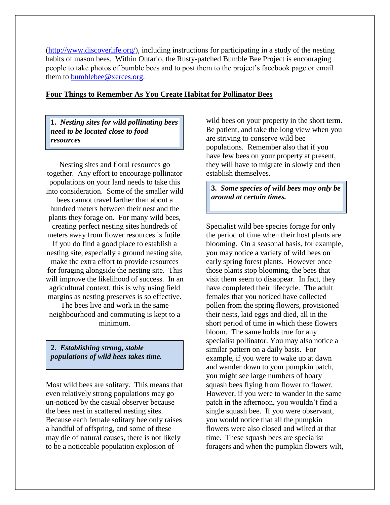[\(http://www.discoverlife.org/\)](http://www.discoverlife.org/), including instructions for participating in a study of the nesting habits of mason bees. Within Ontario, the Rusty-patched Bumble Bee Project is encouraging people to take photos of bumble bees and to post them to the project's facebook page or email them to [bumblebee@xerces.org.](mailto:bumblebee@xerces.org)

## **Four Things to Remember As You Create Habitat for Pollinator Bees**

**1.** *Nesting sites for wild pollinating bees need to be located close to food resources* 

Nesting sites and floral resources go together. Any effort to encourage pollinator populations on your land needs to take this into consideration. Some of the smaller wild bees cannot travel farther than about a hundred meters between their nest and the plants they forage on. For many wild bees, creating perfect nesting sites hundreds of meters away from flower resources is futile. If you do find a good place to establish a nesting site, especially a ground nesting site, make the extra effort to provide resources for foraging alongside the nesting site. This will improve the likelihood of success. In an agricultural context, this is why using field

The bees live and work in the same neighbourhood and commuting is kept to a minimum.

margins as nesting preserves is so effective.

**2.** *Establishing strong, stable populations of wild bees takes time.*

Most wild bees are solitary. This means that even relatively strong populations may go un-noticed by the casual observer because the bees nest in scattered nesting sites. Because each female solitary bee only raises a handful of offspring, and some of these may die of natural causes, there is not likely to be a noticeable population explosion of

wild bees on your property in the short term. Be patient, and take the long view when you are striving to conserve wild bee populations. Remember also that if you have few bees on your property at present, they will have to migrate in slowly and then establish themselves.

**3.** *Some species of wild bees may only be around at certain times.*

Specialist wild bee species forage for only the period of time when their host plants are blooming. On a seasonal basis, for example, you may notice a variety of wild bees on early spring forest plants. However once those plants stop blooming, the bees that visit them seem to disappear. In fact, they have completed their lifecycle. The adult females that you noticed have collected pollen from the spring flowers, provisioned their nests, laid eggs and died, all in the short period of time in which these flowers bloom. The same holds true for any specialist pollinator. You may also notice a similar pattern on a daily basis. For example, if you were to wake up at dawn and wander down to your pumpkin patch, you might see large numbers of hoary squash bees flying from flower to flower. However, if you were to wander in the same patch in the afternoon, you wouldn't find a single squash bee. If you were observant, you would notice that all the pumpkin flowers were also closed and wilted at that time. These squash bees are specialist foragers and when the pumpkin flowers wilt,